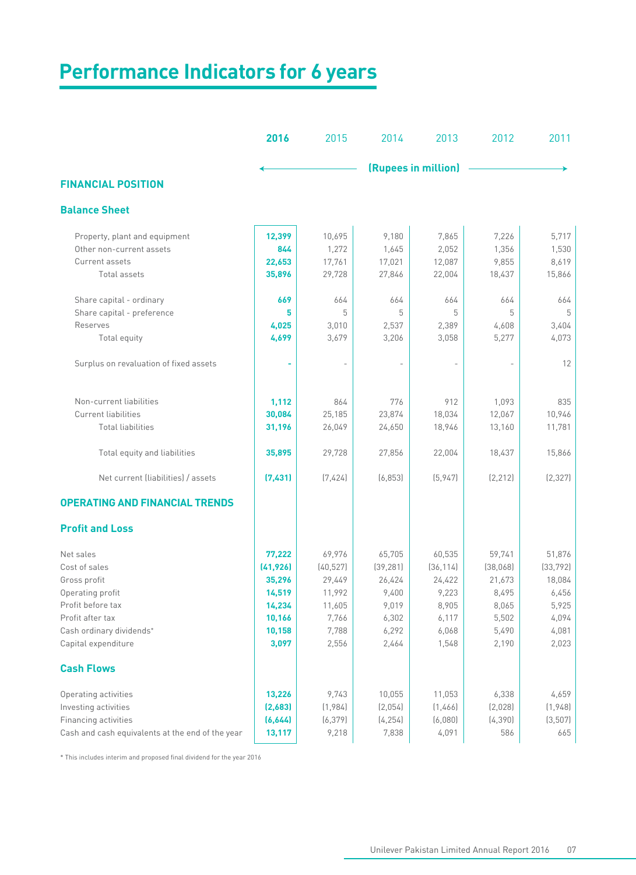| <b>Performance Indicators for 6 years</b>        |           |           |                     |           |          |           |  |  |  |  |  |
|--------------------------------------------------|-----------|-----------|---------------------|-----------|----------|-----------|--|--|--|--|--|
|                                                  |           |           |                     |           |          |           |  |  |  |  |  |
|                                                  | 2016      | 2015      | 2014                | 2013      | 2012     | 2011      |  |  |  |  |  |
|                                                  |           |           | (Rupees in million) |           |          |           |  |  |  |  |  |
| <b>FINANCIAL POSITION</b>                        |           |           |                     |           |          |           |  |  |  |  |  |
| <b>Balance Sheet</b>                             |           |           |                     |           |          |           |  |  |  |  |  |
| Property, plant and equipment                    | 12,399    | 10,695    | 9,180               | 7,865     | 7,226    | 5,717     |  |  |  |  |  |
| Other non-current assets                         | 844       | 1,272     | 1,645               | 2,052     | 1,356    | 1,530     |  |  |  |  |  |
| Current assets                                   | 22,653    | 17,761    | 17,021              | 12,087    | 9,855    | 8,619     |  |  |  |  |  |
| Total assets                                     | 35,896    | 29,728    | 27,846              | 22,004    | 18,437   | 15,866    |  |  |  |  |  |
| Share capital - ordinary                         | 669       | 664       | 664                 | 664       | 664      | 664       |  |  |  |  |  |
| Share capital - preference                       | 5         | 5         | 5                   | 5         | 5        | 5         |  |  |  |  |  |
| Reserves                                         | 4,025     | 3,010     | 2,537               | 2,389     | 4,608    | 3,404     |  |  |  |  |  |
| Total equity                                     | 4,699     | 3,679     | 3,206               | 3,058     | 5,277    | 4,073     |  |  |  |  |  |
| Surplus on revaluation of fixed assets           |           |           |                     |           |          | 12        |  |  |  |  |  |
| Non-current liabilities                          | 1,112     | 864       | 776                 | 912       | 1,093    | 835       |  |  |  |  |  |
| <b>Current liabilities</b>                       | 30,084    | 25,185    | 23,874              | 18,034    | 12,067   | 10,946    |  |  |  |  |  |
| <b>Total liabilities</b>                         | 31,196    | 26,049    | 24,650              | 18,946    | 13,160   | 11,781    |  |  |  |  |  |
|                                                  |           |           |                     |           |          |           |  |  |  |  |  |
| Total equity and liabilities                     | 35,895    | 29,728    | 27,856              | 22,004    | 18,437   | 15,866    |  |  |  |  |  |
| Net current (liabilities) / assets               | (7,431)   | (7,424)   | (6, 853)            | (5, 947)  | [2, 212] | [2, 327]  |  |  |  |  |  |
| <b>OPERATING AND FINANCIAL TRENDS</b>            |           |           |                     |           |          |           |  |  |  |  |  |
| <b>Profit and Loss</b>                           |           |           |                     |           |          |           |  |  |  |  |  |
| Net sales                                        | 77,222    | 69,976    | 65,705              | 60,535    | 59,741   | 51,876    |  |  |  |  |  |
| Cost of sales                                    | (41, 926) | (40, 527) | (39, 281)           | (36, 114) | (38,068) | (33, 792) |  |  |  |  |  |
| Gross profit                                     | 35,296    | 29,449    | 26,424              | 24,422    | 21,673   | 18,084    |  |  |  |  |  |
| Operating profit                                 | 14,519    | 11,992    | 9,400               | 9,223     | 8,495    | 6,456     |  |  |  |  |  |
| Profit before tax                                | 14,234    | 11,605    | 9,019               | 8,905     | 8,065    | 5,925     |  |  |  |  |  |
| Profit after tax                                 | 10,166    | 7,766     | 6,302               | 6,117     | 5,502    | 4,094     |  |  |  |  |  |
| Cash ordinary dividends*                         | 10,158    | 7,788     | 6,292               | 6,068     | 5,490    | 4,081     |  |  |  |  |  |
| Capital expenditure                              | 3,097     | 2,556     | 2,464               | 1,548     | 2,190    | 2,023     |  |  |  |  |  |
| <b>Cash Flows</b>                                |           |           |                     |           |          |           |  |  |  |  |  |
| Operating activities                             | 13,226    | 9,743     | 10,055              | 11,053    | 6,338    | 4,659     |  |  |  |  |  |
| Investing activities                             | (2,683)   | (1,984)   | (2,054)             | (1,466)   | (2,028)  | (1,948)   |  |  |  |  |  |
| Financing activities                             | (6,644)   | (6, 379)  | (4, 254)            | (6,080)   | (4, 390) | (3,507)   |  |  |  |  |  |
| Cash and cash equivalents at the end of the year | 13,117    | 9,218     | 7,838               | 4,091     | 586      | 665       |  |  |  |  |  |

 $^{\ast}$  This includes interim and proposed final dividend for the year 2016